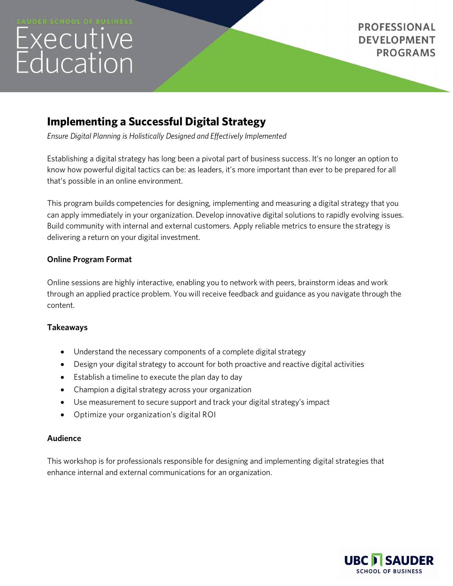# Executive<br>Education

**PROFESSIONAL DEVELOPMENT PROGRAMS** 

# **Implementing a Successful Digital Strategy**

*Ensure Digital Planning is Holistically Designed and Effectively Implemented*

Establishing a digital strategy has long been a pivotal part of business success. It's no longer an option to know how powerful digital tactics can be: as leaders, it's more important than ever to be prepared for all that's possible in an online environment.

This program builds competencies for designing, implementing and measuring a digital strategy that you can apply immediately in your organization. Develop innovative digital solutions to rapidly evolving issues. Build community with internal and external customers. Apply reliable metrics to ensure the strategy is delivering a return on your digital investment.

### **Online Program Format**

Online sessions are highly interactive, enabling you to network with peers, brainstorm ideas and work through an applied practice problem. You will receive feedback and guidance as you navigate through the content.

## **Takeaways**

- Understand the necessary components of a complete digital strategy
- Design your digital strategy to account for both proactive and reactive digital activities
- Establish a timeline to execute the plan day to day
- Champion a digital strategy across your organization
- Use measurement to secure support and track your digital strategy's impact
- Optimize your organization's digital ROI

#### **Audience**

This workshop is for professionals responsible for designing and implementing digital strategies that enhance internal and external communications for an organization.